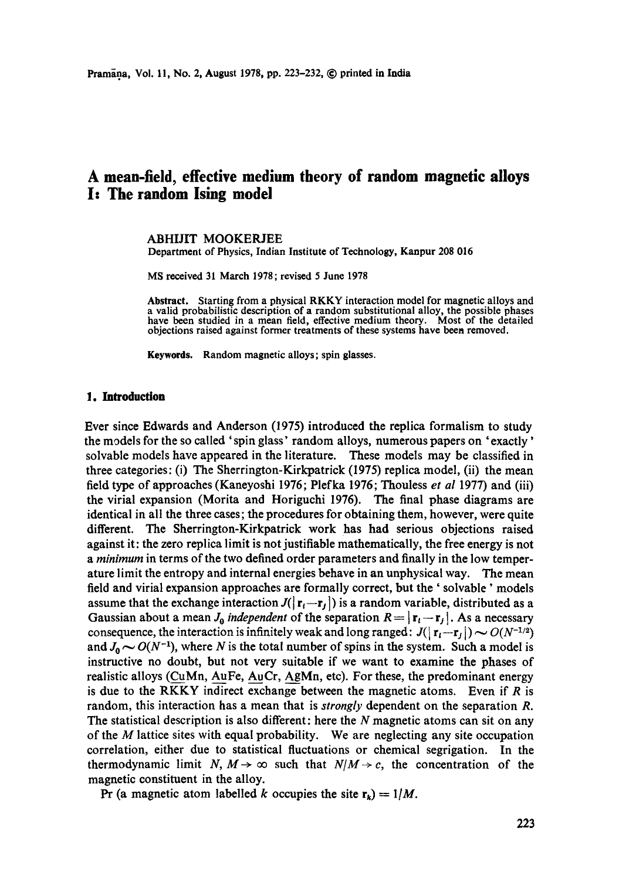# **A mean-field, effective medium theory of random magnetic alloys I: The random lsing model**

### ABHIJIT MOOKERJEE

Department of Physics, Indian Institute of Technology, Kanpur 208 016

MS received 31 March 1978; revised 5 June 1978

**Abstract.** Starting from a physical RKKY interaction model for magnetic alloys and a valid probabilistic description of a random substitutional alloy, the possible phases have been studied in a mean field, effective medium theory. Most of the detailed objections raised against former treatments of these systems have been removed.

**Keywords.** Random magnetic alloys; spin glasses.

#### **1. Introduction**

Ever since Edwards and Anderson (1975) introduced the replica formalism to study the models for the so called ' spin glass' random alloys, numerous papers on ' exactly' solvable models have appeared in the literature. These models may be classified in three categories: (i) The Sherrington-Kirkpatrick (1975) replica model, (ii) the mean field type of approaches (Kaneyoshi 1976; Plefka 1976; Thouless *et al* 1977) and (iii) the virial expansion (Morita and Horiguchi 1976). The final phase diagrams are identical in all the three cases; the procedures for obtaining them, however, were quite different. The Sherrington-Kirkpatrick work has had serious objections raised against it: the zero replica limit is not justifiable mathematically, the free energy is not *a minimum* in terms of the two defined order parameters and finally in the low temperature limit the entropy and internal energies behave in an unphysical way. The mean field and virial expansion approaches are formally correct, but the' solvable' models assume that the exchange interaction  $J(|{\bf r}_i-{\bf r}_j|)$  is a random variable, distributed as a Gaussian about a mean *J<sub>o</sub> independent* of the separation  $R = |r_i - r_j|$ . As a necessary consequence, the interaction is infinitely weak and long ranged:  $J(|r_i-r_j|) \sim O(N^{-1/2})$ and  $J_0 \sim O(N^{-1})$ , where N is the total number of spins in the system. Such a model is instructive no doubt, but not very suitable if we want to examine the phases of realistic alloys (CuMn, AuFe, AuCr, AgMn, etc). For these, the predominant energy is due to the RKKY indirect exchange between the magnetic atoms. Even if  $R$  is random, this interaction has a mean that is *strongly* dependent on the separation R. The statistical description is also different: here the  $N$  magnetic atoms can sit on any of the  $M$  lattice sites with equal probability. We are neglecting any site occupation correlation, either due to statistical fluctuations or chemical segrigation. In the thermodynamic limit N,  $M \rightarrow \infty$  such that  $N/M \rightarrow c$ , the concentration of the magnetic constituent in the alloy.

Pr (a magnetic atom labelled k occupies the site  $r_k$ ) = 1/M.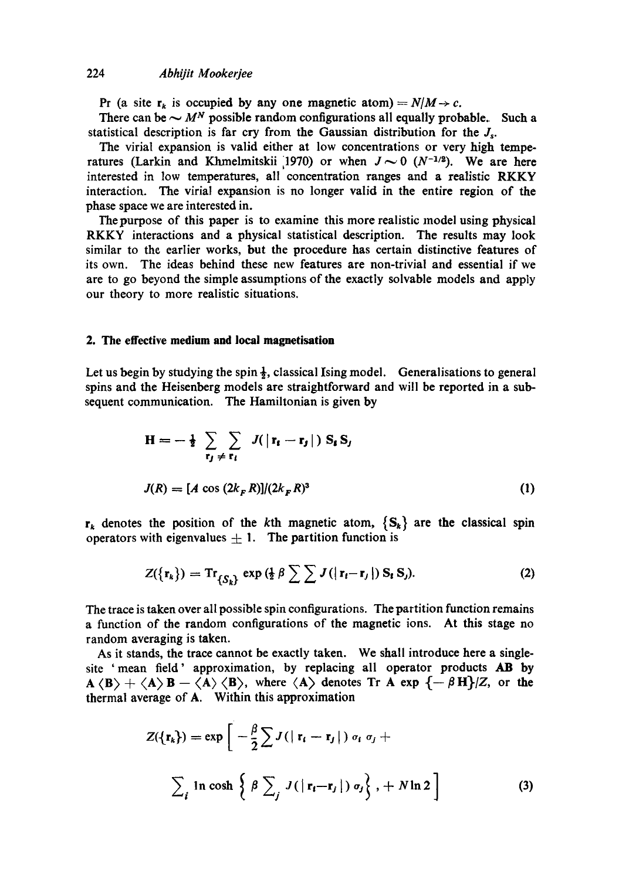## 224 *Abhijit Mookerjee*

Pr (a site  $r_k$  is occupied by any one magnetic atom) =  $N/M \rightarrow c$ .

There can be  $\sim M^N$  possible random configurations all equally probable. Such a statistical description is far cry from the Gaussian distribution for the  $J_s$ .

The virial expansion is valid either at low concentrations or very high temperatures (Larkin and Khmelmitskii 1970) or when  $J \sim 0$  ( $N^{-1/2}$ ). We are here interested in low temperatures, all concentration ranges and a realistic RKKY interaction. The virial expansion is no longer valid in the entire region of the phase space we are interested in.

The purpose of this paper is to examine this more realistic model using physical RKKY interactions and a physical statistical description. The results may look similar to the earlier works, but the procedure has certain distinctive features of its own. The ideas behind these new features are non-trivial and essential if we are to go beyond the simple assumptions of the exactly solvable models and apply our theory to more realistic situations.

# **2. The effective medium and local magnetisation**

Let us begin by studying the spin  $\frac{1}{2}$ , classical Ising model. Generalisations to general spins and the Heisenberg models are straightforward and will be reported in a subsequent communication. The Hamiltonian is given by

$$
\mathbf{H} = -\frac{1}{2} \sum_{\mathbf{r}_j \neq \mathbf{r}_i} \sum_{\mathbf{r}_j \neq \mathbf{r}_i} J(|\mathbf{r}_i - \mathbf{r}_j|) \mathbf{S}_i \mathbf{S}_j
$$
  

$$
J(R) = [A \cos(2k_F R)]/(2k_F R)^3
$$
 (1)

 $r_k$  denotes the position of the kth magnetic atom,  $\{S_k\}$  are the classical spin operators with eigenvalues  $\pm$  1. The partition function is

$$
Z(\lbrace \mathbf{r}_k \rbrace) = \mathrm{Tr}_{\lbrace S_k \rbrace} \exp \left( \frac{1}{2} \beta \sum_{i} \sum_{j} J(|\mathbf{r}_i - \mathbf{r}_j|) \mathbf{S}_i \mathbf{S}_j \right). \tag{2}
$$

The trace is taken over all possible spin configurations. The partition function remains a function of the random configurations of the magnetic ions. At this stage no random averaging is taken.

As it stands, the trace cannot be exactly taken. We shall introduce here a singlesite 'mean field' approximation, by replacing all operator products AB by  $A \langle B \rangle + \langle A \rangle B - \langle A \rangle \langle B \rangle$ , where  $\langle A \rangle$  denotes Tr A exp  $\{-\beta H\}/Z$ , or the thermal average of A. Within this approximation

$$
Z(\lbrace \mathbf{r}_k \rbrace) = \exp\left[-\frac{\beta}{2} \sum J(|\mathbf{r}_i - \mathbf{r}_j|) \sigma_i \sigma_j + \sum_i \ln \cosh \left\{ \beta \sum_j J(|\mathbf{r}_i - \mathbf{r}_j|) \sigma_j \right\}, + N \ln 2 \right]
$$
(3)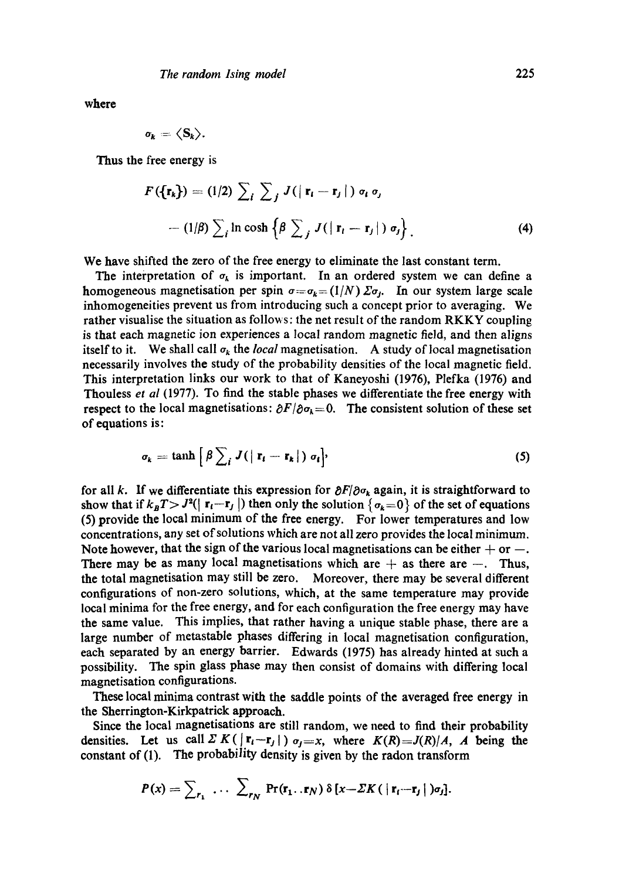**where** 

$$
\sigma_k = \langle S_k \rangle
$$

Thus the free energy is

$$
F(\lbrace \mathbf{r}_k \rbrace) = (1/2) \sum_i \sum_j J(|\mathbf{r}_i - \mathbf{r}_j|) \sigma_i \sigma_j
$$
  
- 
$$
-(1/\beta) \sum_i \ln \cosh \left\{ \beta \sum_j J(|\mathbf{r}_i - \mathbf{r}_j|) \sigma_j \right\}. \tag{4}
$$

We have shifted the zero of the free energy to eliminate the last constant term.

The interpretation of  $\sigma_{k}$  is important. In an ordered system we can define a homogeneous magnetisation per spin  $\sigma = \sigma_k = (1/N)\Sigma \sigma_i$ . In our system large scale inhomogeneities prevent us from introducing such a concept prior to averaging. We rather visualise the situation as follows: the net result of the random RKKY coupling is that each magnetic ion experiences a local random magnetic field, and then aligns itself to it. We shall call  $\sigma_k$  the *local* magnetisation. A study of local magnetisation necessarily involves the study of the probability densities of the local magnetic field. This interpretation links our work to that of Kaneyoshi (1976), Plefka (1976) and Thouless *et al* (1977). To find the stable phases we differentiate the free energy with respect to the local magnetisations:  $\partial F/\partial \sigma_k = 0$ . The consistent solution of these set of equations is:

$$
\sigma_k = \tanh\left[\beta \sum_i J(|\mathbf{r}_i - \mathbf{r}_k|) \sigma_i\right],\tag{5}
$$

for all k. If we differentiate this expression for  $\partial F/\partial \sigma_k$  again, it is straightforward to show that if  $k_B T > J^2(|r_1-r_j|)$  then only the solution  $\{\sigma_k=0\}$  of the set of equations (5) provide the local minimum of the free energy. For lower temperatures and low concentrations, any set of solutions which are not all zero provides the local minimum. Note however, that the sign of the various local magnetisations can be either  $+$  or  $-$ . There may be as many local magnetisations which are  $+$  as there are  $-$ . Thus, the total magnetisation may still be zero. Moreover, there may be several different configurations of non-zero solutions, which, at the same temperature may provide local minima for the free energy, and for each configuration the free energy may have the same value. This implies, that rather having a unique stable phase, there are a large number of metastable phases differing in local magnetisation configuration, each separated by an energy barrier. Edwards (1975) has already hinted at such a possibility. The spin glass phase may then consist of domains with differing local magnetisation configurations.

These local minima contrast with the saddle points of the averaged free energy in the Sherrington-Kirkpatrick approach.

Since the local magnetisations are still random, we need to find their probability densities. Let us call  $\sum K(|\mathbf{r}_i - \mathbf{r}_j|)$   $\sigma_i = x$ , where  $K(R) = J(R)/A$ , A being the constant of (1). The probability density is given by the radon transform

$$
P(x) = \sum_{r_1} \ldots \sum_{r_N} \Pr(\mathbf{r}_1 \ldots \mathbf{r}_N) \delta[x - \Sigma K (\mid \mathbf{r}_i - \mathbf{r}_j \mid) \sigma_j].
$$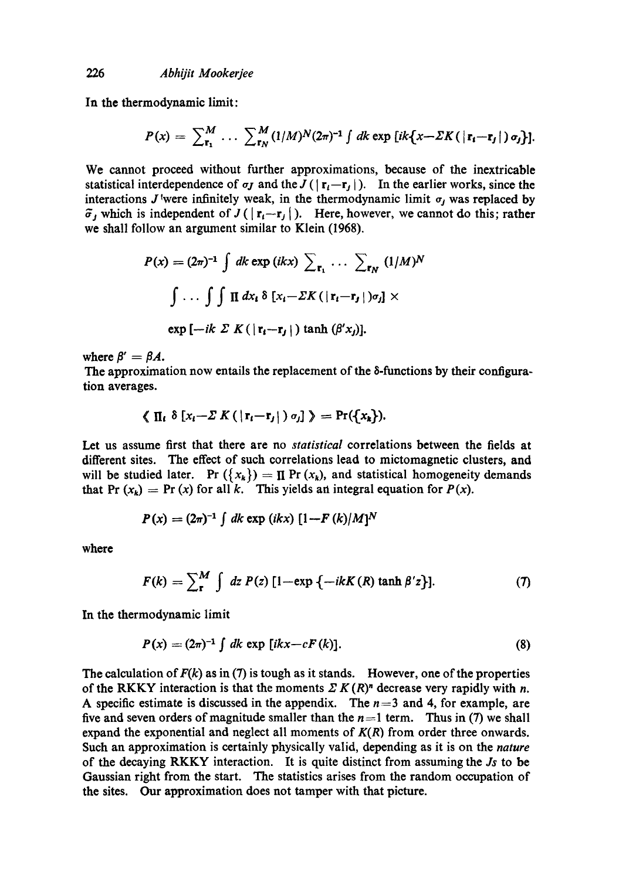In the thermodynamic limit:

$$
P(x) = \sum_{\mathbf{r_1}}^M \cdots \sum_{\mathbf{r_N}}^M (1/M)^N (2\pi)^{-1} \int dk \exp \left[i k \left\{ x - \Sigma K \left( \left| \mathbf{r_i} - \mathbf{r_j} \right| \right) \sigma_j \right\} \right].
$$

We cannot proceed without further approximations, because of the inextricable statistical interdependence of  $\sigma$ *j* and the  $J(|{\bf r}_i-{\bf r}_i|)$ . In the earlier works, since the interactions J were infinitely weak, in the thermodynamic limit  $\sigma_i$  was replaced by  $\tilde{\sigma}_j$  which is independent of  $J(|\mathbf{r}_i-\mathbf{r}_j|)$ . Here, however, we cannot do this; rather we shall follow an argument similar to Klein (1968).

$$
P(x) = (2\pi)^{-1} \int dk \exp(ikx) \sum_{\mathbf{r}_1} \cdots \sum_{\mathbf{r}_N} (1/M)^N
$$

$$
\int \cdots \int \int \prod dx_i \delta [x_i - \Sigma K (|\mathbf{r}_i - \mathbf{r}_j|) \sigma_j] \times
$$

$$
\exp [-ik \Sigma K (|\mathbf{r}_i - \mathbf{r}_j|) \tanh (\beta' x_j)].
$$

where  $\beta' = \beta A$ .

The approximation now entails the replacement of the 8-functions by their configuration averages.

$$
\langle \prod_i \delta [x_i - \Sigma K (|r_i - r_j|) \sigma_j] \rangle = \Pr(\{x_k\}).
$$

Let us assume first that there are no *statistical* correlations between the fields at different sites. The effect of such correlations lead to mictomagnetie dusters, and will be studied later. Pr  $({x_k}) = \Pi$  Pr  $(x_k)$ , and statistical homogeneity demands that Pr  $(x_k) = Pr(x)$  for all k. This yields an integral equation for  $P(x)$ .

$$
P(x) = (2\pi)^{-1} \int dk \exp (ikx) [1 - F(k)/M]^N
$$

where

$$
F(k) = \sum_{r}^{M} \int dz P(z) \left[1 - \exp \{-ikK(R) \tanh \beta' z\}\right].
$$
 (7)

In the thermodynamic limit

$$
P(x) = (2\pi)^{-1} \int dk \exp[ikx - cF(k)]. \qquad (8)
$$

The calculation of  $F(k)$  as in (7) is tough as it stands. However, one of the properties of the RKKY interaction is that the moments  $\sum K(R)^n$  decrease very rapidly with n. A specific estimate is discussed in the appendix. The  $n=3$  and 4, for example, are five and seven orders of magnitude smaller than the  $n=1$  term. Thus in (7) we shall expand the exponential and neglect all moments of *K(R)* from order three onwards. Such an approximation is certainly physically valid, depending as it is on the *nature*  of the decaying RKKY interaction. It is quite distinct from assuming the *.Is* to be Gaussian right from the start. The statistics arises from the random occupation of the sites. Our approximation does not tamper with that picture.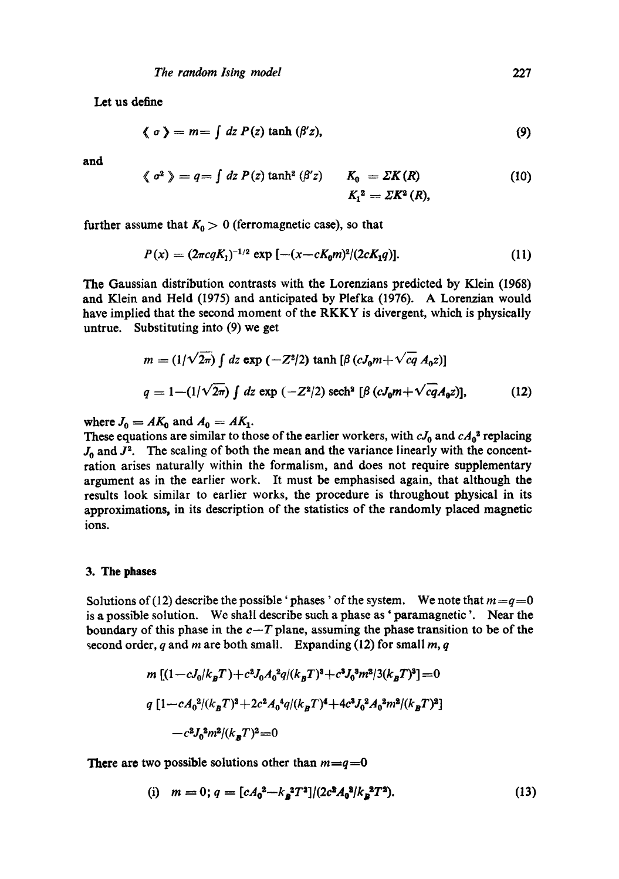Let us define

$$
\langle \sigma \rangle = m = \int dz P(z) \tanh (\beta' z), \qquad (9)
$$

**and** 

$$
\langle \sigma^2 \rangle = q = \int dz P(z) \tanh^2(\beta' z) \qquad K_0 = \Sigma K(R) \tag{10}
$$

$$
K_1^2 = \Sigma K^2(R),
$$

further assume that  $K_0 > 0$  (ferromagnetic case), so that

$$
P(x) = (2\pi c q K_1)^{-1/2} \exp [-(x-cK_0 m)^2/(2cK_1 q)]. \qquad (11)
$$

The Gaussian distribution contrasts with the Lorenzians predicted by Klein (1968) and Klein and Held (1975) and anticipated by Plefka (1976). A Lorenzian would have implied that the second moment of the RKKY is divergent, which is physically untrue. Substituting into (9) we get

$$
m = (1/\sqrt{2\pi}) \int dz \exp(-Z^2/2) \tanh[\beta(cJ_0m + \sqrt{cq} A_0z)]
$$
  
 
$$
q = 1 - (1/\sqrt{2\pi}) \int dz \exp(-Z^2/2) \operatorname{sech}^2 [\beta(cJ_0m + \sqrt{cq}A_0z)],
$$
 (12)

where  $J_0 = AK_0$  and  $A_0 = AK_1$ .

These equations are similar to those of the earlier workers, with  $cJ_0$  and  $cA_0^3$  replacing  $J_0$  and  $J^2$ . The scaling of both the mean and the variance linearly with the concentration arises naturally within the formalism, and does not require supplementary argument as in the earlier work. It must be emphasised again, that although the results look similar to earlier works, the procedure is throughout physical in its approximations, in its description of the statistics of the randomly placed magnetic ions.

## **3. The phases**

Solutions of (12) describe the possible 'phases' of the system. We note that  $m = q = 0$ is a possible solution. We shall describe such a phase as' paramagnetic '. Near the boundary of this phase in the  $c-T$  plane, assuming the phase transition to be of the second order, q and m are both small. Expanding (12) for small  $m, q$ 

$$
m [(1-cJ_0/k_B T) + c^2 J_0 A_0^2 q/(k_B T)^3 + c^3 J_0^3 m^2/3(k_B T)^3] = 0
$$
  
\n
$$
q [1 - cA_0^2/(k_B T)^2 + 2c^2 A_0^4 q/(k_B T)^4 + 4c^3 J_0^2 A_0^2 m^2/(k_B T)^2]
$$
  
\n
$$
-c^2 J_0^2 m^2/(k_B T)^2 = 0
$$

There are two possible solutions other than  $m = q = 0$ 

(i) 
$$
m = 0; q = [cA_0^2 - k_B^2 T^2]/(2c^2 A_0^2 / k_B^2 T^2).
$$
 (13)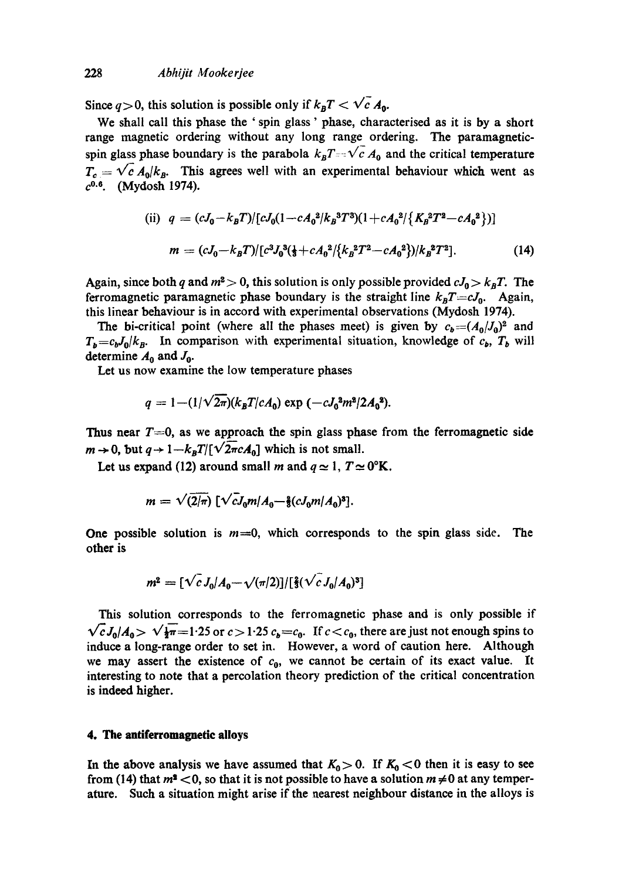Since  $q > 0$ , this solution is possible only if  $k_B T < \sqrt{c} A_0$ .

We shall call this phase the ' spin glass' phase, characterised as it is by a short range magnetic ordering without any long range ordering. The paramagneticspin glass phase boundary is the parabola  $k_B T = \sqrt{c} A_0$  and the critical temperature  $T_c = \sqrt{c} A_0/k_B$ . This agrees well with an experimental behaviour which went as  $c^{0.6}$ . (Mydosh 1974).

(ii) 
$$
q = (cJ_0 - k_BT)/[cJ_0(1 - cA_0^2/k_B^3T^3)(1 + cA_0^2/\{K_B^2T^2 - cA_0^2\})]
$$
  
\n
$$
m = (cJ_0 - k_BT)/[c^3J_0^3(\frac{1}{3} + cA_0^2/\{k_B^2T^2 - cA_0^2\})/k_B^2T^2].
$$
\n(14)

Again, since both q and  $m^2 > 0$ , this solution is only possible provided  $cJ_0 > k_B T$ . The ferromagnetic paramagnetic phase boundary is the straight line  $k_B T = c J_0$ . Again, this linear behaviour is in accord with experimental observations (Mydosh 1974).

The bi-critical point (where all the phases meet) is given by  $c_b = (A_0/J_0)^2$  and  $T_{b} = c_{b} J_{0}/k_{B}$ . In comparison with experimental situation, knowledge of  $c_{b}$ ,  $T_{b}$  will determine  $A_0$  and  $J_0$ .

Let us now examine the low temperature phases

$$
q = 1 - (1/\sqrt{2\pi})(k_B T/cA_0) \exp(-cJ_0^2 m^2/2A_0^2).
$$

Thus near  $T=0$ , as we approach the spin glass phase from the ferromagnetic side  $m \rightarrow 0$ , but  $q \rightarrow 1-k_BT/[\sqrt{2\pi}cA_0]$  which is not small.

Let us expand (12) around small m and  $q \approx 1, T \approx 0$ °K.

$$
m = \sqrt{(2/\pi)} \left[ \sqrt{c} J_0 m / A_0 - \frac{2}{3} (c J_0 m / A_0)^3 \right].
$$

One possible solution is  $m=0$ , which corresponds to the spin glass side. The other is

$$
m^2 = \left[\sqrt{c} J_0 / A_0 - \sqrt{(\pi/2)}\right] / \left[\frac{2}{3} (\sqrt{c} J_0 / A_0)^3\right]
$$

This solution corresponds to the ferromagnetic phase and is only possible if  $\sqrt{c}J_0/A_0 > \sqrt{\frac{1}{2}}\pi = 1.25$  or  $c > 1.25$   $c_b = c_0$ . If  $c < c_0$ , there are just not enough spins to induce a long-range order to set in. However, a word of caution here. Although we may assert the existence of  $c_0$ , we cannot be certain of its exact value. It interesting to note that a percolation theory prediction of the critical concentration is indeed higher.

## **4. The antiferromagnetic alloys**

In the above analysis we have assumed that  $K_0 > 0$ . If  $K_0 < 0$  then it is easy to see from (14) that  $m^2$  < 0, so that it is not possible to have a solution  $m \neq 0$  at any temperature. Such a situation might arise if the nearest neighbour distance in the alloys is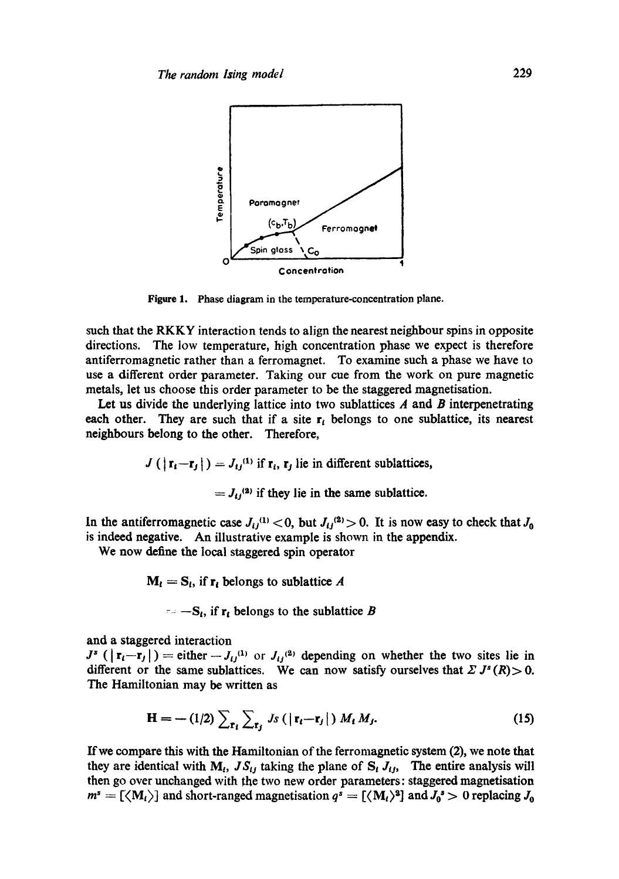

**Figure** 1. Phase diagram in the temperature-concentration plane.

such that the RKKY interaction tends to align the nearest neighbour spins in opposite directions. The low temperature, high concentration phase we expect is therefore antiferromagnetic rather than a ferromagnet. To examine such a phase we have to use a different order parameter. Taking our cue from the work on pure magnetic metals, let us choose this order parameter to be the staggered magnetisation.

Let us divide the underlying lattice into two sublattices  $A$  and  $B$  interpenetrating each other. They are such that if a site  $r_i$  belongs to one sublattice, its nearest neighbours belong to the other. Therefore,

$$
J\left(\left|\mathbf{r}_{i}-\mathbf{r}_{j}\right|\right)=J_{ij}^{(1)}\text{ if }\mathbf{r}_{i},\mathbf{r}_{j}\text{ lie in different sublattices,}
$$

 $= J_{tt}^{(2)}$  if they lie in the same sublattice.

In the antiferromagnetic case  $J_{ij}^{(1)} < 0$ , but  $J_{ij}^{(2)} > 0$ . It is now easy to check that  $J_0$ is indeed negative. An illustrative example is shown in the appendix.

We now define the local staggered spin operator

 $M_t = S_t$ , if  $r_t$  belongs to sublattice A

 $-$ S<sub>t</sub>, if  $r_t$  belongs to the sublattice B

and a staggered interaction

 $J^s$  ( $|\mathbf{r}_i-\mathbf{r}_j|$ ) = either  $-J_{ij}^{(1)}$  or  $J_{ij}^{(2)}$  depending on whether the two sites lie in different or the same sublattices. We can now satisfy ourselves that  $\Sigma J^s(R) > 0$ . The Hamiltonian may be written as

$$
\mathbf{H} = -\left(1/2\right) \sum_{\mathbf{r}_i} \sum_{\mathbf{r}_j} J_S\left(\left|\mathbf{r}_i - \mathbf{r}_j\right|\right) M_t M_j. \tag{15}
$$

If we compare this with the Hamiltonian of the ferromagnetic system (2), we note that they are identical with  $M_t$ ,  $JS_{tj}$  taking the plane of  $S_t J_{tj}$ , The entire analysis will then go over unchanged with the two new order parameters: staggered magnetisation  $m^s = [\langle M_i \rangle]$  and short-ranged magnetisation  $q^s = [\langle M_i \rangle^2]$  and  $J_0^s > 0$  replacing  $J_0$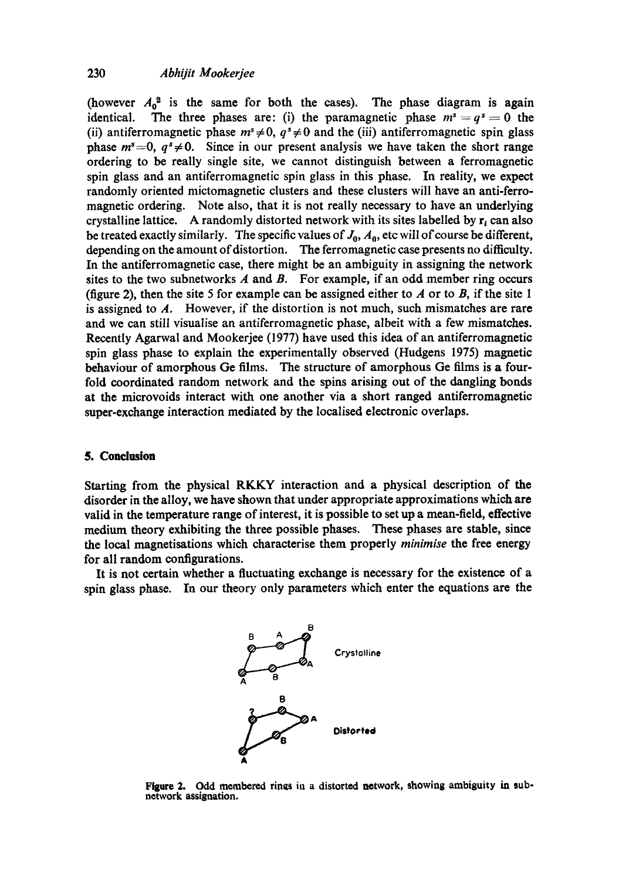(however  $A_0^2$  is the same for both the cases). The phase diagram is again identical. The three phases are: (i) the paramagnetic phase  $m^s = q^s = 0$  the (ii) antiferromagnetic phase  $m^s \neq 0$ ,  $q^s \neq 0$  and the (iii) antiferromagnetic spin glass phase  $m^s=0$ ,  $q^s\neq 0$ . Since in our present analysis we have taken the short range ordering to be really single site, we cannot distinguish between a ferromagnetic spin glass and an antiferromagnetic spin glass in this phase. In reality, we expect randomly oriented mictomagnetie clusters and these clusters will have an anti-ferromagnetic ordering. Note also, that it is not really necessary to have an underlying crystalline lattice. A randomly distorted network with its sites labelled by  $r_i$  can also be treated exactly similarly. The specific values of  $J_0$ ,  $A_0$ , etc will of course be different, depending on the amount of distortion. The ferromagnetic case presents no difficulty. In the antiferromagnetic case, there might be an ambiguity in assigning the network sites to the two subnetworks  $A$  and  $B$ . For example, if an odd member ring occurs (figure 2), then the site 5 for example can be assigned either to  $\vec{A}$  or to  $\vec{B}$ , if the site 1 is assigned to  $A$ . However, if the distortion is not much, such mismatches are rare and we can still visualise an antiferromagnetic phase, albeit with a few mismatches. Recently Agarwal and Mookerjee (1977) have used this idea of an antiferromagnetic spin glass phase to explain the experimentally observed (Hudgens 1975) magnetic behaviour of amorphous Ge films. The structure of amorphous Ge films is a fourfold coordinated random network and the spins arising out of the dangling bonds at the microvoids interact with one another via a short ranged antiferromagnetic super-exchange interaction mediated by the localised electronic overlaps.

## **5. Conclusion**

Starting from the physical RKKY interaction and a physical description of the disorder in the alloy, we have shown that under appropriate approximations which **are**  valid in the temperature range of interest, it is possible to set up a mean-field, effective medium theory exhibiting the three possible phases. These phases are stable, since the local magnetisations which characterise them properly *minimise the* free energy for all random configurations.

It is not certain whether a fluctuating exchange is necessary for the existence of a spin glass phase. In our theory only parameters Which enter the equations are the



**Figure 2. Odd membered rings in a distorted network, showing ambiguity ia subnetwork assignation.**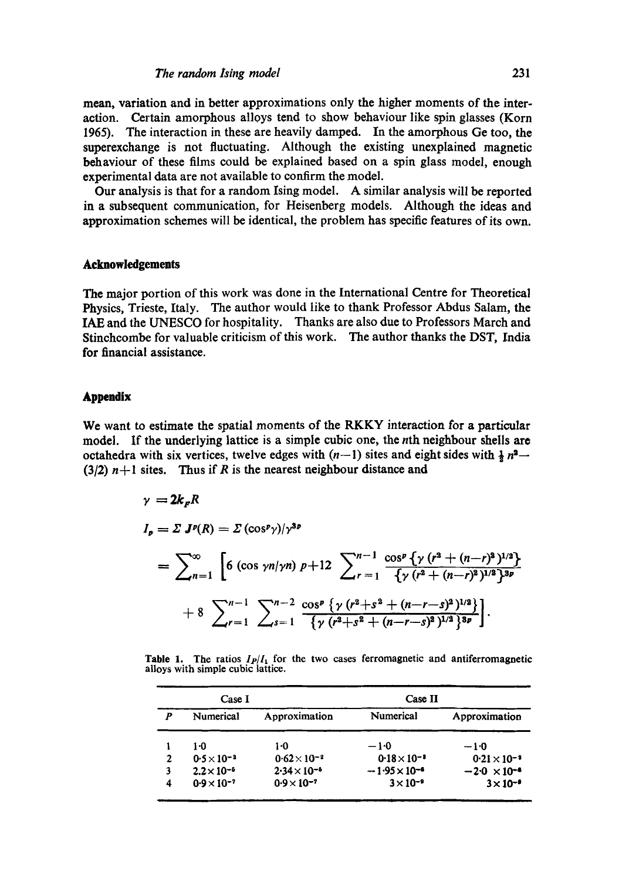#### *The random Ising model* 231

mean, variation and in better approximations only the higher moments of the interaction. Certain amorphous alloys tend to show behaviour like spin glasses (Korn 1965). The interaction in these are heavily damped. In the amorphous Ge too, the superexchange is not fluctuating. Although the existing unexplained magnetic behaviour of these films could be explained based on a spin glass model, enough experimental data are not available to confirm the model.

Our analysis is that for a random Ising model. A similar analysis will be reported in a subsequent communication, for Heisenberg models. Although the ideas and approximation schemes will be identical, the problem has specific features of its own.

### Acknowledgements

The major portion of this work was done in the International Centre for Theoretical Physics, Trieste, Italy. The author would like to thank Professor Abdus Salam, the IAE and the UNESCO for hospitality. Thanks are also due to Professors March and Stinchcombe for valuable criticism of this work. The author thanks the DST, India for financial assistance.

### **Appendix**

We want to estimate the spatial moments of the RKKY interaction for a particular model. If the underlying lattice is a simple cubic one, the nth neighbour shells are octahedra with six vertices, twelve edges with  $(n-1)$  sites and eight sides with  $\frac{1}{2}n^2$ (3/2)  $n+1$  sites. Thus if R is the nearest neighbour distance and

$$
\gamma = 2k_F R
$$
  
\n
$$
I_p = \Sigma J^p(R) = \Sigma (\cos^p \gamma)/\gamma^{3p}
$$
  
\n
$$
= \sum_{n=1}^{\infty} \left[ 6 (\cos \gamma n/\gamma n) p + 12 \sum_{r=1}^{n-1} \frac{\cos^p \{\gamma (r^2 + (n-r)^2)^{1/2}\}}{\{\gamma (r^2 + (n-r)^2)^{1/2}\}^{3p}} + 8 \sum_{r=1}^{n-1} \sum_{s=1}^{n-2} \frac{\cos^p \{\gamma (r^2 + s^2 + (n-r-s)^2)^{1/2}\}}{\{\gamma (r^2 + s^2 + (n-r-s)^2)^{1/2}\}^{3p}} \right].
$$

**Table 1.** The ratios  $I_P/I_1$  for the two cases ferromagnetic and antiferromagnetic alloys with simple cubic lattice.

| Case I |                      |                       | Case II                |                       |
|--------|----------------------|-----------------------|------------------------|-----------------------|
| P      | Numerical            | Approximation         | Numerical              | Approximation         |
|        | 1.0                  | 1-0                   | -10                    | $-1.0$                |
| 2      | $0.5 \times 10^{-2}$ | $0.62 \times 10^{-2}$ | $0.18 \times 10^{-3}$  | $0.21 \times 10^{-3}$ |
| 3      | $2.2 \times 10^{-6}$ | $2.34 \times 10^{-6}$ | $-1.95 \times 10^{-6}$ | $-2.0 \times 10^{-4}$ |
| 4      | $0.9 \times 10^{-7}$ | $0.9 \times 10^{-7}$  | $3 \times 10^{-9}$     | $3 \times 10^{-9}$    |